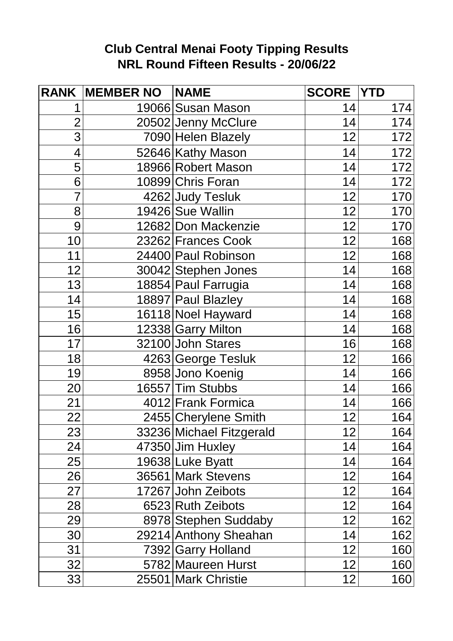## **Club Central Menai Footy Tipping Results NRL Round Fifteen Results - 20/06/22**

| <b>RANK</b>     | <b>MEMBER NO</b> | <b>NAME</b>              | <b>SCORE</b> | <b>YTD</b>       |
|-----------------|------------------|--------------------------|--------------|------------------|
|                 |                  | 19066 Susan Mason        | 14           | 174              |
| $\overline{2}$  |                  | 20502 Jenny McClure      | 14           | 174              |
| 3               |                  | 7090 Helen Blazely       | 12           | 172              |
| 4               |                  | 52646 Kathy Mason        | 14           | $\overline{172}$ |
| 5               |                  | 18966 Robert Mason       | 14           | $\frac{1}{172}$  |
| 6               |                  | 10899 Chris Foran        | 14           | 172              |
| $\overline{7}$  |                  | 4262 Judy Tesluk         | 12           | 170              |
| 8               |                  | 19426 Sue Wallin         | 12           | 170              |
| 9               |                  | 12682 Don Mackenzie      | 12           | 170              |
| 10              |                  | 23262 Frances Cook       | 12           | 168              |
| 11              |                  | 24400 Paul Robinson      | 12           | 168              |
| 12              |                  | 30042 Stephen Jones      | 14           | 168              |
| 13              |                  | 18854 Paul Farrugia      | 14           | 168              |
| 14              |                  | 18897 Paul Blazley       | 14           | 168              |
| 15              |                  | 16118 Noel Hayward       | 14           | 168              |
| 16              |                  | 12338 Garry Milton       | 14           | 168              |
| 17              |                  | 32100 John Stares        | 16           | 168              |
| 18              |                  | 4263 George Tesluk       | 12           | 166              |
| 19              |                  | 8958 Jono Koenig         | 14           | 166              |
| 20              |                  | 16557 Tim Stubbs         | 14           | 166              |
| 21              |                  | 4012 Frank Formica       | 14           | 166              |
| $\overline{22}$ |                  | 2455 Cherylene Smith     | 12           | 164              |
| 23              |                  | 33236 Michael Fitzgerald | 12           | 164              |
| 24              |                  | 47350 Jim Huxley         | 14           | 164              |
| 25              |                  | 19638 Luke Byatt         | 14           | 164              |
| 26              |                  | 36561 Mark Stevens       | 12           | 164              |
| 27              |                  | 17267 John Zeibots       | 12           | 164              |
| 28              |                  | 6523 Ruth Zeibots        | 12           | 164              |
| 29              |                  | 8978 Stephen Suddaby     | 12           | 162              |
| 30              |                  | 29214 Anthony Sheahan    | 14           | 162              |
| 31              |                  | 7392 Garry Holland       | 12           | 160              |
| 32              |                  | 5782 Maureen Hurst       | 12           | 160              |
| 33              |                  | 25501 Mark Christie      | 12           | 160              |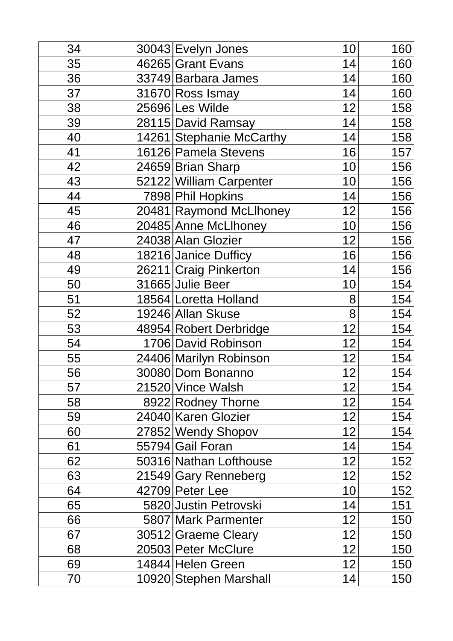| 34 | 30043 Evelyn Jones       | 10 | 160 |
|----|--------------------------|----|-----|
| 35 | 46265 Grant Evans        | 14 | 160 |
| 36 | 33749 Barbara James      | 14 | 160 |
| 37 | 31670 Ross Ismay         | 14 | 160 |
| 38 | 25696 Les Wilde          | 12 | 158 |
| 39 | 28115 David Ramsay       | 14 | 158 |
| 40 | 14261 Stephanie McCarthy | 14 | 158 |
| 41 | 16126 Pamela Stevens     | 16 | 157 |
| 42 | 24659 Brian Sharp        | 10 | 156 |
| 43 | 52122 William Carpenter  | 10 | 156 |
| 44 | 7898 Phil Hopkins        | 14 | 156 |
| 45 | 20481 Raymond McLlhoney  | 12 | 156 |
| 46 | 20485 Anne McLlhoney     | 10 | 156 |
| 47 | 24038 Alan Glozier       | 12 | 156 |
| 48 | 18216 Janice Dufficy     | 16 | 156 |
| 49 | 26211 Craig Pinkerton    | 14 | 156 |
| 50 | 31665 Julie Beer         | 10 | 154 |
| 51 | 18564 Loretta Holland    | 8  | 154 |
| 52 | 19246 Allan Skuse        | 8  | 154 |
| 53 | 48954 Robert Derbridge   | 12 | 154 |
| 54 | 1706 David Robinson      | 12 | 154 |
| 55 | 24406 Marilyn Robinson   | 12 | 154 |
| 56 | 30080 Dom Bonanno        | 12 | 154 |
| 57 | 21520 Vince Walsh        | 12 | 154 |
| 58 | 8922 Rodney Thorne       | 12 | 154 |
| 59 | 24040 Karen Glozier      | 12 | 154 |
| 60 | 27852 Wendy Shopov       | 12 | 154 |
| 61 | 55794 Gail Foran         | 14 | 154 |
| 62 | 50316 Nathan Lofthouse   | 12 | 152 |
| 63 | 21549 Gary Renneberg     | 12 | 152 |
| 64 | 42709 Peter Lee          | 10 | 152 |
| 65 | 5820 Justin Petrovski    | 14 | 151 |
| 66 | 5807 Mark Parmenter      | 12 | 150 |
| 67 | 30512 Graeme Cleary      | 12 | 150 |
| 68 | 20503 Peter McClure      | 12 | 150 |
| 69 | 14844 Helen Green        | 12 | 150 |
| 70 | 10920 Stephen Marshall   | 14 | 150 |